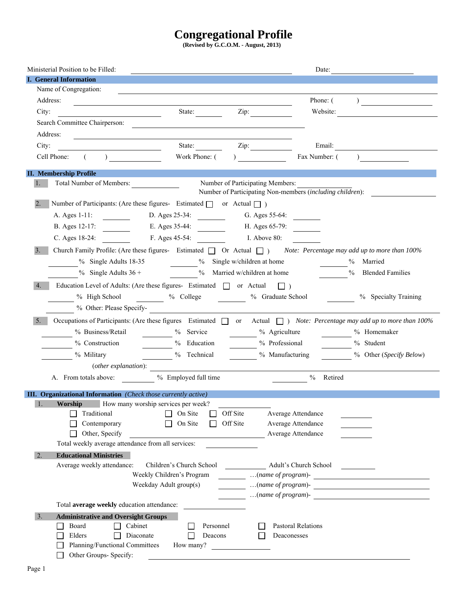# **Congregational Profile**

**(Revised by G.C.O.M. - August, 2013)** 

| Ministerial Position to be Filled:                                                                                                      |                               |                                  | Date:                     |                                                                                                                                                                                                                                                                                                                                                                                                                            |
|-----------------------------------------------------------------------------------------------------------------------------------------|-------------------------------|----------------------------------|---------------------------|----------------------------------------------------------------------------------------------------------------------------------------------------------------------------------------------------------------------------------------------------------------------------------------------------------------------------------------------------------------------------------------------------------------------------|
| <b>I.</b> General Information                                                                                                           |                               |                                  |                           |                                                                                                                                                                                                                                                                                                                                                                                                                            |
| Name of Congregation:                                                                                                                   |                               |                                  |                           |                                                                                                                                                                                                                                                                                                                                                                                                                            |
| Address:<br><u> 1980 - Andrea Stadt Britain, amerikansk politik (* 1950)</u>                                                            |                               |                                  | Phone: (                  | ) and the set of the set of the set of the set of the set of the set of the set of the set of the set of the set of the set of the set of the set of the set of the set of the set of the set of the set of the set of the se                                                                                                                                                                                              |
| City:                                                                                                                                   | State: <u>Zip:</u> Zip:       |                                  | Website:                  | <u> 1989 - Jan Stein Stein Stein Stein Stein Stein Stein Stein Stein Stein Stein Stein Stein Stein Stein Stein S</u>                                                                                                                                                                                                                                                                                                       |
| Search Committee Chairperson:                                                                                                           |                               |                                  |                           |                                                                                                                                                                                                                                                                                                                                                                                                                            |
| Address:<br><u> 1989 - Jan Samuel Barbara, martin da shekara 1980 - An tsara 1980 - An tsara 1980 - An tsara 1980 - An tsara</u>        |                               |                                  |                           |                                                                                                                                                                                                                                                                                                                                                                                                                            |
| City:                                                                                                                                   | State: <u>Zip:</u>            |                                  | Email:                    | <u> 1980 - Jan Samuel Barbara, martin di</u>                                                                                                                                                                                                                                                                                                                                                                               |
| $( \hspace{1cm} ) \hspace{1cm} \underline{\hspace{1cm}}$<br>Cell Phone:                                                                 | Work Phone: $($ $)$           |                                  | Fax Number: (             | $\begin{array}{ccc} \n\end{array}$                                                                                                                                                                                                                                                                                                                                                                                         |
|                                                                                                                                         |                               |                                  |                           |                                                                                                                                                                                                                                                                                                                                                                                                                            |
| <b>II. Membership Profile</b><br>1.<br>Total Number of Members:                                                                         |                               | Number of Participating Members: |                           |                                                                                                                                                                                                                                                                                                                                                                                                                            |
|                                                                                                                                         |                               |                                  |                           | Number of Participating Non-members (including children):                                                                                                                                                                                                                                                                                                                                                                  |
| 2.<br>Number of Participants: (Are these figures- Estimated $\Box$ or Actual $\Box$ )                                                   |                               |                                  |                           |                                                                                                                                                                                                                                                                                                                                                                                                                            |
| A. Ages 1-11: D. Ages 25-34: G. Ages 55-64:                                                                                             |                               |                                  |                           |                                                                                                                                                                                                                                                                                                                                                                                                                            |
| B. Ages 12-17:                                                                                                                          | E. Ages 35-44: H. Ages 65-79: |                                  |                           |                                                                                                                                                                                                                                                                                                                                                                                                                            |
| C. Ages 18-24:                                                                                                                          | F. Ages 45-54:                | I. Above 80:                     |                           |                                                                                                                                                                                                                                                                                                                                                                                                                            |
| 3.<br>Church Family Profile: (Are these figures- Estimated $\Box$ Or Actual $\Box$ ) Note: Percentage may add up to more than 100%      |                               |                                  |                           |                                                                                                                                                                                                                                                                                                                                                                                                                            |
| % Single Adults 18-35 % Single w/children at home                                                                                       |                               |                                  |                           | Married                                                                                                                                                                                                                                                                                                                                                                                                                    |
| % Single Adults $36 +$ % Married w/children at home                                                                                     |                               |                                  | $\frac{0}{2}$             | $\frac{0}{0}$<br><b>Blended Families</b>                                                                                                                                                                                                                                                                                                                                                                                   |
|                                                                                                                                         |                               |                                  |                           |                                                                                                                                                                                                                                                                                                                                                                                                                            |
| 4.<br>Education Level of Adults: (Are these figures- Estimated $\Box$ or Actual $\Box$ )                                                |                               |                                  |                           |                                                                                                                                                                                                                                                                                                                                                                                                                            |
| % High School $\sim$ % College $\sim$ % Graduate School                                                                                 |                               |                                  |                           | % Specialty Training                                                                                                                                                                                                                                                                                                                                                                                                       |
| % Other: Please Specify-                                                                                                                |                               |                                  |                           |                                                                                                                                                                                                                                                                                                                                                                                                                            |
| Occupations of Participants: (Are these figures Estimated $\Box$ or Actual $\Box$ ) Note: Percentage may add up to more than 100%<br>5. |                               |                                  |                           |                                                                                                                                                                                                                                                                                                                                                                                                                            |
| % Business/Retail                                                                                                                       | $\frac{9}{6}$ Service         | $\frac{9}{6}$ Agriculture        |                           | $\frac{9}{6}$ Homemaker                                                                                                                                                                                                                                                                                                                                                                                                    |
| % Construction                                                                                                                          | $\frac{9}{6}$ Education       | % Professional                   |                           | % Student                                                                                                                                                                                                                                                                                                                                                                                                                  |
| % Military 19% Technical                                                                                                                |                               | <sup>%</sup> Manufacturing       |                           | % Other (Specify Below)                                                                                                                                                                                                                                                                                                                                                                                                    |
| (other explanation):                                                                                                                    |                               |                                  |                           |                                                                                                                                                                                                                                                                                                                                                                                                                            |
| A. From totals above:                                                                                                                   | % Employed full time          |                                  | $%$ Retired               |                                                                                                                                                                                                                                                                                                                                                                                                                            |
| <b>III. Organizational Information</b> (Check those currently active)                                                                   |                               |                                  |                           |                                                                                                                                                                                                                                                                                                                                                                                                                            |
| <b>Worship</b> How many worship services per week?                                                                                      |                               |                                  |                           |                                                                                                                                                                                                                                                                                                                                                                                                                            |
| Traditional                                                                                                                             | On Site                       | Off Site                         | Average Attendance        |                                                                                                                                                                                                                                                                                                                                                                                                                            |
| Contemporary                                                                                                                            | On Site                       | Off Site                         | Average Attendance        |                                                                                                                                                                                                                                                                                                                                                                                                                            |
| Other, Specify                                                                                                                          |                               |                                  | Average Attendance        |                                                                                                                                                                                                                                                                                                                                                                                                                            |
| Total weekly average attendance from all services:                                                                                      |                               |                                  |                           |                                                                                                                                                                                                                                                                                                                                                                                                                            |
| <b>Educational Ministries</b><br>2.                                                                                                     |                               |                                  |                           |                                                                                                                                                                                                                                                                                                                                                                                                                            |
| Average weekly attendance:                                                                                                              | Children's Church School      |                                  | Adult's Church School     |                                                                                                                                                                                                                                                                                                                                                                                                                            |
|                                                                                                                                         | Weekly Children's Program     |                                  |                           | $\frac{1}{\sqrt{1-\frac{1}{2}}}\dots\frac{1}{\sqrt{1-\frac{1}{2}}\sqrt{1-\frac{1}{2}}}\dots\frac{1}{\sqrt{1-\frac{1}{2}}\sqrt{1-\frac{1}{2}}\sqrt{1-\frac{1}{2}}}\dots\frac{1}{\sqrt{1-\frac{1}{2}}\sqrt{1-\frac{1}{2}}\sqrt{1-\frac{1}{2}}\sqrt{1-\frac{1}{2}}\sqrt{1-\frac{1}{2}}\sqrt{1-\frac{1}{2}}\sqrt{1-\frac{1}{2}}\sqrt{1-\frac{1}{2}}\sqrt{1-\frac{1}{2}}\sqrt{1-\frac{1}{2}}\sqrt{1-\frac{1}{2}}\sqrt{1-\frac{$ |
| Weekday Adult group(s)                                                                                                                  |                               |                                  |                           | $\ldots$ (name of program)- $\frac{1}{\ldots}$                                                                                                                                                                                                                                                                                                                                                                             |
|                                                                                                                                         |                               |                                  |                           | (name of program)- $\qquad \qquad$                                                                                                                                                                                                                                                                                                                                                                                         |
| Total average weekly education attendance:                                                                                              |                               |                                  |                           |                                                                                                                                                                                                                                                                                                                                                                                                                            |
| 3.<br><b>Administrative and Oversight Groups</b><br>Cabinet<br>Board                                                                    | Personnel                     |                                  | <b>Pastoral Relations</b> |                                                                                                                                                                                                                                                                                                                                                                                                                            |
| Elders<br>Diaconate                                                                                                                     | Deacons                       |                                  | Deaconesses               |                                                                                                                                                                                                                                                                                                                                                                                                                            |
| Planning/Functional Committees                                                                                                          | How many?                     |                                  |                           |                                                                                                                                                                                                                                                                                                                                                                                                                            |
| Other Groups- Specify:                                                                                                                  |                               |                                  |                           |                                                                                                                                                                                                                                                                                                                                                                                                                            |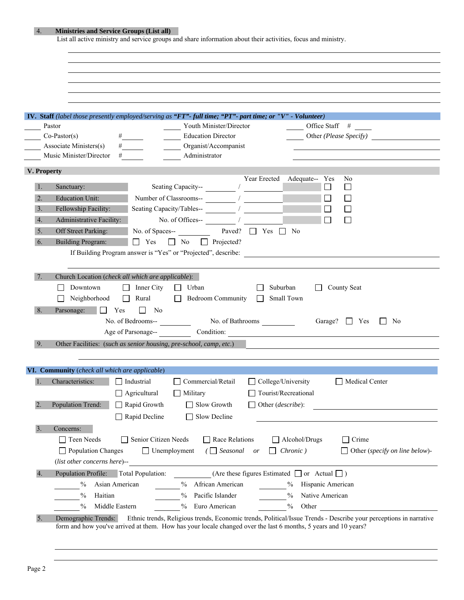|                  | <b>Ministries and Service Groups (List all)</b>    |                                                      |                                                                                                               |                                                                   |                                       |
|------------------|----------------------------------------------------|------------------------------------------------------|---------------------------------------------------------------------------------------------------------------|-------------------------------------------------------------------|---------------------------------------|
|                  |                                                    |                                                      | List all active ministry and service groups and share information about their activities, focus and ministry. |                                                                   |                                       |
|                  |                                                    |                                                      |                                                                                                               |                                                                   |                                       |
|                  |                                                    |                                                      |                                                                                                               |                                                                   |                                       |
|                  |                                                    |                                                      |                                                                                                               |                                                                   |                                       |
|                  |                                                    |                                                      |                                                                                                               |                                                                   |                                       |
|                  |                                                    |                                                      |                                                                                                               |                                                                   |                                       |
|                  |                                                    |                                                      |                                                                                                               |                                                                   |                                       |
|                  |                                                    |                                                      | IV. Staff (label those presently employed/serving as "FT"- full time; "PT"- part time; or "V" - Volunteer)    |                                                                   |                                       |
|                  | Pastor                                             |                                                      | Youth Minister/Director                                                                                       | Office Staff $#$                                                  |                                       |
|                  | $Co\text{-}Paster(s)$                              |                                                      | <b>Education Director</b>                                                                                     |                                                                   |                                       |
|                  | Associate Ministers(s)                             | $\#$                                                 | Organist/Accompanist                                                                                          |                                                                   |                                       |
|                  | Music Minister/Director #                          |                                                      | Administrator                                                                                                 |                                                                   |                                       |
|                  |                                                    |                                                      |                                                                                                               |                                                                   |                                       |
|                  | V. Property                                        |                                                      |                                                                                                               |                                                                   |                                       |
|                  |                                                    |                                                      |                                                                                                               | Year Erected Adequate-- Yes<br>N <sub>0</sub><br>$\Box$<br>$\Box$ |                                       |
|                  | Sanctuary:                                         |                                                      |                                                                                                               |                                                                   |                                       |
| 2.               | <b>Education Unit:</b>                             |                                                      | Number of Classrooms--                                                                                        | $\mathsf{L}$                                                      |                                       |
| 3.               | Fellowship Facility:                               |                                                      |                                                                                                               |                                                                   |                                       |
| 4.               | Administrative Facility:                           |                                                      | No. of Offices-- /                                                                                            |                                                                   |                                       |
| 5.               | Off Street Parking:                                | No. of Spaces--                                      | Paved? $\Box$ Yes $\Box$ No                                                                                   |                                                                   |                                       |
| 6.               | <b>Building Program:</b>                           | $\Box$ Yes                                           | $\Box$ No<br>$\Box$ Projected?                                                                                |                                                                   |                                       |
|                  |                                                    |                                                      | If Building Program answer is "Yes" or "Projected", describe:                                                 |                                                                   |                                       |
|                  |                                                    |                                                      |                                                                                                               |                                                                   |                                       |
|                  | Neighborhood                                       | Rural<br>$\Box$                                      | <b>Bedroom Community</b><br>$\perp$                                                                           | Small Town                                                        |                                       |
| 8.               | Parsonage:                                         | Yes<br>N <sub>0</sub><br>$\Box$<br>No. of Bedrooms-- |                                                                                                               | Garage? $\Box$ Yes                                                | No<br>$\mathbf{1}$                    |
|                  |                                                    |                                                      |                                                                                                               | Age of Parsonage-- Condition:                                     |                                       |
| 9.               |                                                    |                                                      | Other Facilities: (such as senior housing, pre-school, camp, etc.)                                            |                                                                   |                                       |
|                  |                                                    |                                                      |                                                                                                               |                                                                   |                                       |
|                  |                                                    |                                                      |                                                                                                               |                                                                   |                                       |
|                  | VI. Community (check all which are applicable)     |                                                      |                                                                                                               |                                                                   |                                       |
| 1.               | Characteristics:                                   | $\Box$ Industrial                                    | Commercial/Retail                                                                                             | College/University<br>Medical Center                              |                                       |
|                  |                                                    | $\Box$ Agricultural                                  | Military                                                                                                      | Tourist/Recreational                                              |                                       |
| $\overline{2}$ . | Population Trend:                                  | Rapid Growth                                         | $\Box$ Slow Growth                                                                                            | $\Box$ Other ( <i>describe</i> ):                                 |                                       |
|                  |                                                    |                                                      |                                                                                                               |                                                                   |                                       |
|                  |                                                    | Rapid Decline                                        | Slow Decline                                                                                                  |                                                                   |                                       |
| 3.               | Concerns:                                          |                                                      |                                                                                                               |                                                                   |                                       |
|                  | $\Box$ Teen Needs                                  | Senior Citizen Needs                                 | $\Box$ Race Relations                                                                                         | $\Box$ Alcohol/Drugs<br>$\Box$ Crime                              |                                       |
|                  | $\Box$ Population Changes                          | $\Box$ Unemployment                                  | $\sqrt{ }$ Seasonal or                                                                                        | $\Box$ Chronic)                                                   |                                       |
|                  | (list other concerns here)--                       |                                                      |                                                                                                               |                                                                   |                                       |
| 4.               | Population Profile:                                |                                                      | Total Population: (Are these figures Estimated $\Box$ or Actual $\Box$ )                                      |                                                                   |                                       |
|                  | $\frac{0}{0}$<br>Asian American                    |                                                      | % African American                                                                                            | % Hispanic American                                               |                                       |
|                  |                                                    |                                                      |                                                                                                               |                                                                   |                                       |
|                  | $\%$<br>Haitian<br>$\frac{0}{0}$<br>Middle Eastern |                                                      | $\frac{0}{0}$<br>Pacific Islander<br>$\frac{0}{0}$<br>Euro American                                           | $\%$<br>Native American<br>$\%$<br>Other                          | $\Box$ Other (specify on line below)- |

Page 2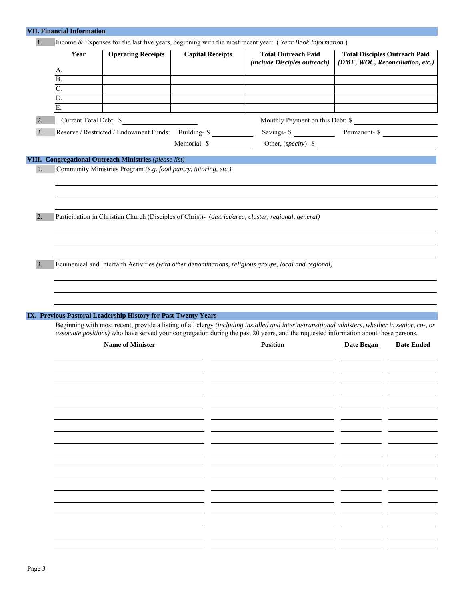| <b>VII. Financial Information</b> |                                                                                                                      |                                                      |                                                                                                                                                                                                                                                                                        |                   |                                      |
|-----------------------------------|----------------------------------------------------------------------------------------------------------------------|------------------------------------------------------|----------------------------------------------------------------------------------------------------------------------------------------------------------------------------------------------------------------------------------------------------------------------------------------|-------------------|--------------------------------------|
| 1.                                |                                                                                                                      |                                                      | Income & Expenses for the last five years, beginning with the most recent year: (Year Book Information)                                                                                                                                                                                |                   |                                      |
| Year                              | <b>Operating Receipts</b>                                                                                            | <b>Capital Receipts</b>                              | <b>Total Outreach Paid</b>                                                                                                                                                                                                                                                             |                   | <b>Total Disciples Outreach Paid</b> |
|                                   |                                                                                                                      |                                                      | (include Disciples outreach)                                                                                                                                                                                                                                                           |                   | (DMF, WOC, Reconciliation, etc.)     |
| А.                                |                                                                                                                      |                                                      |                                                                                                                                                                                                                                                                                        |                   |                                      |
| $\overline{B}$ .                  |                                                                                                                      |                                                      |                                                                                                                                                                                                                                                                                        |                   |                                      |
| $\overline{C}$ .                  |                                                                                                                      |                                                      |                                                                                                                                                                                                                                                                                        |                   |                                      |
| $\overline{D}$ .                  |                                                                                                                      |                                                      |                                                                                                                                                                                                                                                                                        |                   |                                      |
| Ε.                                |                                                                                                                      |                                                      |                                                                                                                                                                                                                                                                                        |                   |                                      |
| Current Total Debt: \$            | <u> 1989 - Jan Barbara Barbara, prima prima prima prima prima prima prima prima prima prima prima prima prima pr</u> |                                                      | Monthly Payment on this Debt: \$                                                                                                                                                                                                                                                       |                   |                                      |
|                                   |                                                                                                                      | Reserve / Restricted / Endowment Funds: Building- \$ | Savings- \$ Permanent- \$                                                                                                                                                                                                                                                              |                   |                                      |
|                                   |                                                                                                                      |                                                      | Memorial- \$ Other, (specify)- \$                                                                                                                                                                                                                                                      |                   |                                      |
|                                   |                                                                                                                      |                                                      |                                                                                                                                                                                                                                                                                        |                   |                                      |
|                                   | VIII. Congregational Outreach Ministries (please list)                                                               |                                                      |                                                                                                                                                                                                                                                                                        |                   |                                      |
|                                   | Community Ministries Program (e.g. food pantry, tutoring, etc.)                                                      |                                                      |                                                                                                                                                                                                                                                                                        |                   |                                      |
|                                   |                                                                                                                      |                                                      |                                                                                                                                                                                                                                                                                        |                   |                                      |
|                                   |                                                                                                                      |                                                      |                                                                                                                                                                                                                                                                                        |                   |                                      |
|                                   |                                                                                                                      |                                                      |                                                                                                                                                                                                                                                                                        |                   |                                      |
|                                   |                                                                                                                      |                                                      |                                                                                                                                                                                                                                                                                        |                   |                                      |
|                                   |                                                                                                                      |                                                      | Participation in Christian Church (Disciples of Christ)- (district/area, cluster, regional, general)                                                                                                                                                                                   |                   |                                      |
|                                   |                                                                                                                      |                                                      |                                                                                                                                                                                                                                                                                        |                   |                                      |
|                                   |                                                                                                                      |                                                      |                                                                                                                                                                                                                                                                                        |                   |                                      |
|                                   |                                                                                                                      |                                                      |                                                                                                                                                                                                                                                                                        |                   |                                      |
|                                   |                                                                                                                      |                                                      | Ecumenical and Interfaith Activities (with other denominations, religious groups, local and regional)                                                                                                                                                                                  |                   |                                      |
|                                   |                                                                                                                      |                                                      |                                                                                                                                                                                                                                                                                        |                   |                                      |
|                                   |                                                                                                                      |                                                      |                                                                                                                                                                                                                                                                                        |                   |                                      |
|                                   |                                                                                                                      |                                                      |                                                                                                                                                                                                                                                                                        |                   |                                      |
|                                   |                                                                                                                      |                                                      |                                                                                                                                                                                                                                                                                        |                   |                                      |
|                                   |                                                                                                                      |                                                      |                                                                                                                                                                                                                                                                                        |                   |                                      |
|                                   | IX. Previous Pastoral Leadership History for Past Twenty Years                                                       |                                                      |                                                                                                                                                                                                                                                                                        |                   |                                      |
|                                   |                                                                                                                      |                                                      | Beginning with most recent, provide a listing of all clergy (including installed and interim/transitional ministers, whether in senior, co-, or<br>associate positions) who have served your congregation during the past 20 years, and the requested information about those persons. |                   |                                      |
|                                   | <b>Name of Minister</b>                                                                                              |                                                      | <b>Position</b>                                                                                                                                                                                                                                                                        | <b>Date Began</b> | <b>Date Ended</b>                    |
|                                   |                                                                                                                      |                                                      |                                                                                                                                                                                                                                                                                        |                   |                                      |
|                                   |                                                                                                                      |                                                      |                                                                                                                                                                                                                                                                                        |                   |                                      |
|                                   |                                                                                                                      |                                                      |                                                                                                                                                                                                                                                                                        |                   |                                      |
|                                   |                                                                                                                      |                                                      |                                                                                                                                                                                                                                                                                        |                   |                                      |
|                                   |                                                                                                                      |                                                      |                                                                                                                                                                                                                                                                                        |                   |                                      |
|                                   |                                                                                                                      |                                                      |                                                                                                                                                                                                                                                                                        |                   |                                      |
|                                   |                                                                                                                      |                                                      |                                                                                                                                                                                                                                                                                        |                   |                                      |
|                                   |                                                                                                                      |                                                      |                                                                                                                                                                                                                                                                                        |                   |                                      |
|                                   |                                                                                                                      |                                                      |                                                                                                                                                                                                                                                                                        |                   |                                      |
|                                   |                                                                                                                      |                                                      |                                                                                                                                                                                                                                                                                        |                   |                                      |
|                                   |                                                                                                                      |                                                      |                                                                                                                                                                                                                                                                                        |                   |                                      |
|                                   |                                                                                                                      |                                                      |                                                                                                                                                                                                                                                                                        |                   |                                      |
|                                   |                                                                                                                      |                                                      |                                                                                                                                                                                                                                                                                        |                   |                                      |
|                                   |                                                                                                                      |                                                      |                                                                                                                                                                                                                                                                                        |                   |                                      |
|                                   |                                                                                                                      |                                                      |                                                                                                                                                                                                                                                                                        |                   |                                      |
|                                   |                                                                                                                      |                                                      |                                                                                                                                                                                                                                                                                        |                   |                                      |
|                                   |                                                                                                                      |                                                      |                                                                                                                                                                                                                                                                                        |                   |                                      |
|                                   |                                                                                                                      |                                                      |                                                                                                                                                                                                                                                                                        |                   |                                      |
|                                   |                                                                                                                      |                                                      |                                                                                                                                                                                                                                                                                        |                   |                                      |
|                                   |                                                                                                                      |                                                      |                                                                                                                                                                                                                                                                                        |                   |                                      |
|                                   |                                                                                                                      |                                                      |                                                                                                                                                                                                                                                                                        |                   |                                      |
|                                   |                                                                                                                      |                                                      |                                                                                                                                                                                                                                                                                        |                   |                                      |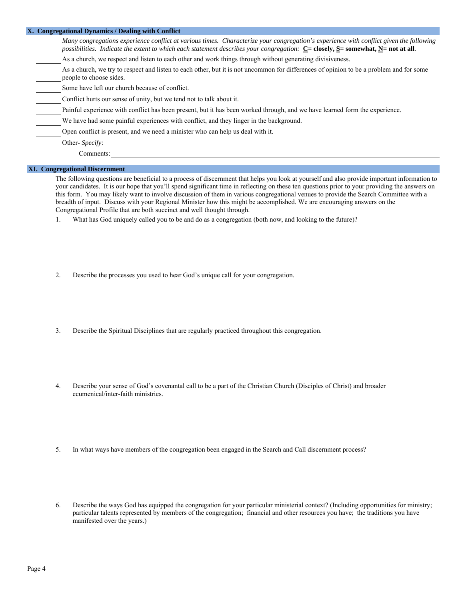| X. Congregational Dynamics / Dealing with Conflict                                                                                                                                                                                                                                                  |
|-----------------------------------------------------------------------------------------------------------------------------------------------------------------------------------------------------------------------------------------------------------------------------------------------------|
| Many congregations experience conflict at various times. Characterize your congregation's experience with conflict given the following<br>possibilities. Indicate the extent to which each statement describes your congregation: $C = \text{closely}, S = \text{somewhat}, N = \text{not at all}.$ |
| As a church, we respect and listen to each other and work things through without generating divisiveness.                                                                                                                                                                                           |
| As a church, we try to respect and listen to each other, but it is not uncommon for differences of opinion to be a problem and for some<br>people to choose sides.                                                                                                                                  |
| Some have left our church because of conflict.                                                                                                                                                                                                                                                      |
| Conflict hurts our sense of unity, but we tend not to talk about it.                                                                                                                                                                                                                                |
| Painful experience with conflict has been present, but it has been worked through, and we have learned form the experience.                                                                                                                                                                         |
| We have had some painful experiences with conflict, and they linger in the background.                                                                                                                                                                                                              |
| Open conflict is present, and we need a minister who can help us deal with it.                                                                                                                                                                                                                      |
| Other- Specify:                                                                                                                                                                                                                                                                                     |
| Comments:                                                                                                                                                                                                                                                                                           |
|                                                                                                                                                                                                                                                                                                     |

# **XI. Congregational Discernment**

 The following questions are beneficial to a process of discernment that helps you look at yourself and also provide important information to your candidates. It is our hope that you'll spend significant time in reflecting on these ten questions prior to your providing the answers on this form. You may likely want to involve discussion of them in various congregational venues to provide the Search Committee with a breadth of input. Discuss with your Regional Minister how this might be accomplished. We are encouraging answers on the Congregational Profile that are both succinct and well thought through.

1. What has God uniquely called you to be and do as a congregation (both now, and looking to the future)?

- 2. Describe the processes you used to hear God's unique call for your congregation.
- 3. Describe the Spiritual Disciplines that are regularly practiced throughout this congregation.
- 4. Describe your sense of God's covenantal call to be a part of the Christian Church (Disciples of Christ) and broader ecumenical/inter-faith ministries.
- 5. In what ways have members of the congregation been engaged in the Search and Call discernment process?
- 6. Describe the ways God has equipped the congregation for your particular ministerial context? (Including opportunities for ministry; particular talents represented by members of the congregation; financial and other resources you have; the traditions you have manifested over the years.)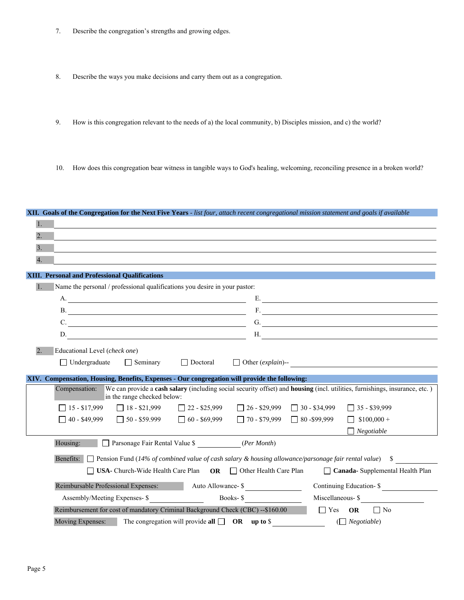- 7. Describe the congregation's strengths and growing edges.
- 8. Describe the ways you make decisions and carry them out as a congregation.
- 9. How is this congregation relevant to the needs of a) the local community, b) Disciples mission, and c) the world?

**XII. Goals of the Congregation for the Next Five Years** - *list four, attach recent congregational mission statement and goals if available*

10. How does this congregation bear witness in tangible ways to God's healing, welcoming, reconciling presence in a broken world?

| $\overline{2}$ . |                                                                                                                                                                                                                                                 |
|------------------|-------------------------------------------------------------------------------------------------------------------------------------------------------------------------------------------------------------------------------------------------|
| 3.               |                                                                                                                                                                                                                                                 |
| $\overline{4}$ . |                                                                                                                                                                                                                                                 |
|                  | XIII. Personal and Professional Qualifications                                                                                                                                                                                                  |
| $\overline{1}$ . | Name the personal / professional qualifications you desire in your pastor:                                                                                                                                                                      |
|                  | E.                                                                                                                                                                                                                                              |
|                  | B.                                                                                                                                                                                                                                              |
|                  | G.<br>C.                                                                                                                                                                                                                                        |
|                  | D.                                                                                                                                                                                                                                              |
|                  | H.                                                                                                                                                                                                                                              |
| 2.               | Educational Level (check one)                                                                                                                                                                                                                   |
|                  | $\Box$ Undergraduate<br>$\Box$ Seminary<br>$\Box$ Doctoral<br>$\Box$ Other ( <i>explain</i> )-- $\Box$                                                                                                                                          |
|                  | XIV. Compensation, Housing, Benefits, Expenses - Our congregation will provide the following:                                                                                                                                                   |
|                  | We can provide a cash salary (including social security offset) and housing (incl. utilities, furnishings, insurance, etc.)<br>Compensation:<br>in the range checked below:                                                                     |
|                  | $\Box$ 15 - \$17,999 $\Box$ 18 - \$21,999 $\Box$ 22 - \$25,999 $\Box$ 26 - \$29,999 $\Box$ 30 - \$34,999<br>$\Box$ 35 - \$39,999                                                                                                                |
|                  | $\Box$ 50 - \$59.999 $\Box$ 60 - \$69,999 $\Box$ 70 - \$79,999 $\Box$ 80 - \$99,999<br>$\Box$ 40 - \$49,999<br>$\Box$ \$100,000 +                                                                                                               |
|                  |                                                                                                                                                                                                                                                 |
|                  | $\Box$ Negotiable                                                                                                                                                                                                                               |
|                  | Housing: Parsonage Fair Rental Value \$ (Per Month)                                                                                                                                                                                             |
|                  |                                                                                                                                                                                                                                                 |
|                  | Benefits: $\Box$ Pension Fund (14% of combined value of cash salary & housing allowance/parsonage fair rental value) \$<br>$\Box$ USA- Church-Wide Health Care Plan OR $\Box$ Other Health Care Plan<br>$\Box$ Canada- Supplemental Health Plan |
|                  |                                                                                                                                                                                                                                                 |
|                  | Reimbursable Professional Expenses:<br>Continuing Education- \$<br>Auto Allowance- \$                                                                                                                                                           |
|                  | Books-\$<br>Miscellaneous- \$<br>Assembly/Meeting Expenses- \$                                                                                                                                                                                  |
|                  | Reimbursement for cost of mandatory Criminal Background Check (CBC) --\$160.00<br>$\Box$ Yes OR $\Box$ No<br>The congregation will provide all $\Box$ OR up to \$<br>Moving Expenses:<br>$(\Box$ Negotiable)                                    |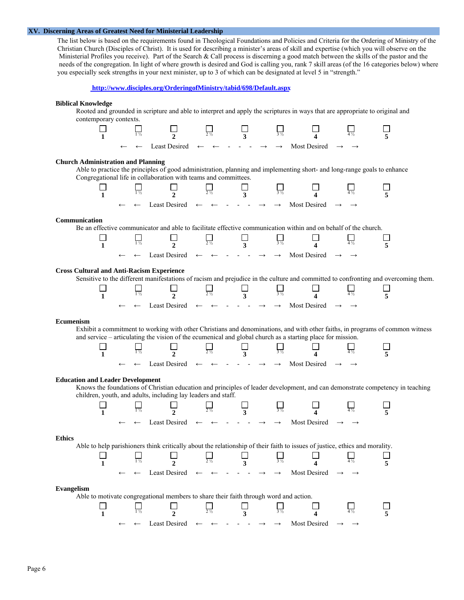# **XV. Discerning Areas of Greatest Need for Ministerial Leadership**

 The list below is based on the requirements found in Theological Foundations and Policies and Criteria for the Ordering of Ministry of the Christian Church (Disciples of Christ). It is used for describing a minister's areas of skill and expertise (which you will observe on the Ministerial Profiles you receive). Part of the Search & Call process is discerning a good match between the skills of the pastor and the needs of the congregation. In light of where growth is desired and God is calling you, rank 7 skill areas (of the 16 categories below) where you especially seek strengths in your next minister, up to 3 of which can be designated at level 5 in "strength."



#### **Biblical Knowledge**

 Rooted and grounded in scripture and able to interpret and apply the scriptures in ways that are appropriate to original and contemporary contexts.



# **Church Administration and Planning**

 Able to practice the principles of good administration, planning and implementing short- and long-range goals to enhance Congregational life in collaboration with teams and committees.

|  |                           |                                                                                                   | $\sim$ $\prime$ |  |  |              |                   |  |
|--|---------------------------|---------------------------------------------------------------------------------------------------|-----------------|--|--|--------------|-------------------|--|
|  | $\leftarrow$ $\leftarrow$ | Least Desired $\leftarrow$ $\leftarrow$ $\cdot$ $\cdot$ $\rightarrow$ $\rightarrow$ $\rightarrow$ |                 |  |  | Most Desired | $\longrightarrow$ |  |

# **Communication**

Be an effective communicator and able to facilitate effective communication within and on behalf of the church.

|  | $\leftarrow$<br>$\leftarrow$ | Least Desired $\leftarrow$ $\leftarrow$ $\leftarrow$ $\cdot$ $\rightarrow$ $\rightarrow$ $\rightarrow$ |  | Most Desired |  |
|--|------------------------------|--------------------------------------------------------------------------------------------------------|--|--------------|--|

# **Cross Cultural and Anti-Racism Experience**

Sensitive to the different manifestations of racism and prejudice in the culture and committed to confronting and overcoming them.

|  | $\leftarrow$ | Least Desired $\leftarrow$ $\leftarrow$ $\cdot$ $\cdot$ $\rightarrow$ $\rightarrow$ $\rightarrow$ |  |  |  | Most Desired | $\overline{\phantom{0}}$ |  |
|--|--------------|---------------------------------------------------------------------------------------------------|--|--|--|--------------|--------------------------|--|

#### **Ecumenism**

 Exhibit a commitment to working with other Christians and denominations, and with other faiths, in programs of common witness and service – articulating the vision of the ecumenical and global church as a starting place for mission.



# **Education and Leader Development**

 $\Box$ 

 Knows the foundations of Christian education and principles of leader development, and can demonstrate competency in teaching children, youth, and adults, including lay leaders and staff.

 $\Box$ 



#### **Ethics**

Able to help parishioners think critically about the relationship of their faith to issues of justice, ethics and morality.



#### **Evangelism**

Able to motivate congregational members to share their faith through word and action.